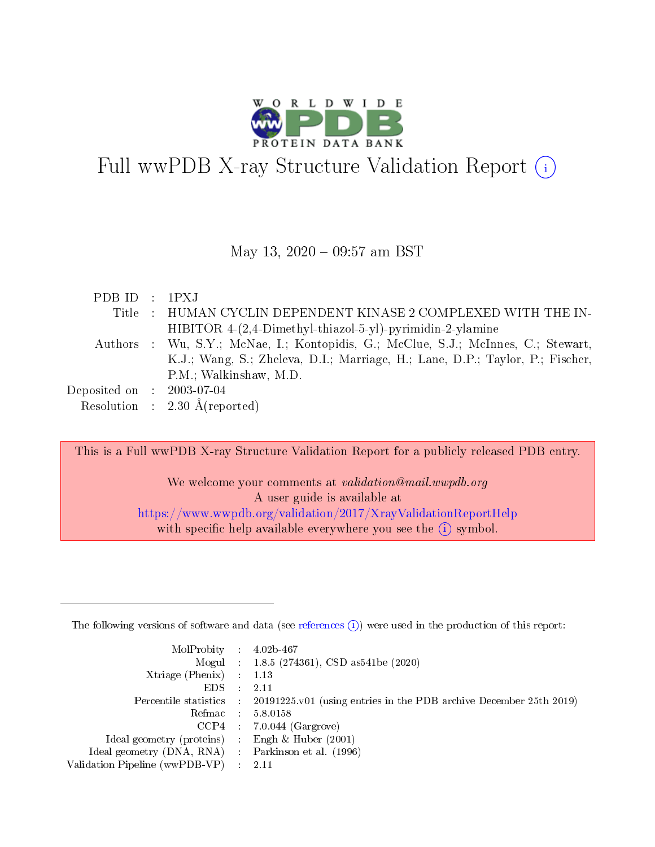

# Full wwPDB X-ray Structure Validation Report (i)

### May 13, 2020 - 09:57 am BST

| PDBID : IPXJ                |                                                                                    |
|-----------------------------|------------------------------------------------------------------------------------|
|                             | Title : HUMAN CYCLIN DEPENDENT KINASE 2 COMPLEXED WITH THE IN-                     |
|                             | $HIBITOR 4-(2,4-Dimethyl-thiazol-5-yl)$ -pyrimidin-2-ylamine                       |
|                             | Authors : Wu, S.Y.; McNae, I.; Kontopidis, G.; McClue, S.J.; McInnes, C.; Stewart, |
|                             | K.J.; Wang, S.; Zheleva, D.I.; Marriage, H.; Lane, D.P.; Taylor, P.; Fischer,      |
|                             | P.M.; Walkinshaw, M.D.                                                             |
| Deposited on : $2003-07-04$ |                                                                                    |
|                             | Resolution : $2.30 \text{ Å}$ (reported)                                           |
|                             |                                                                                    |

This is a Full wwPDB X-ray Structure Validation Report for a publicly released PDB entry.

We welcome your comments at *validation@mail.wwpdb.org* A user guide is available at <https://www.wwpdb.org/validation/2017/XrayValidationReportHelp> with specific help available everywhere you see the  $(i)$  symbol.

The following versions of software and data (see [references](https://www.wwpdb.org/validation/2017/XrayValidationReportHelp#references)  $(1)$ ) were used in the production of this report:

| $MolProbability$ : 4.02b-467                       |               |                                                                                            |
|----------------------------------------------------|---------------|--------------------------------------------------------------------------------------------|
|                                                    |               | Mogul : $1.8.5$ (274361), CSD as 541be (2020)                                              |
| Xtriage (Phenix) $: 1.13$                          |               |                                                                                            |
| EDS.                                               | $\mathcal{L}$ | -2.11                                                                                      |
|                                                    |               | Percentile statistics : 20191225.v01 (using entries in the PDB archive December 25th 2019) |
|                                                    |               | Refmac : 5.8.0158                                                                          |
|                                                    |               | $CCP4$ 7.0.044 (Gargrove)                                                                  |
| Ideal geometry (proteins) : Engh $\&$ Huber (2001) |               |                                                                                            |
| Ideal geometry (DNA, RNA) Parkinson et al. (1996)  |               |                                                                                            |
| Validation Pipeline (wwPDB-VP) : 2.11              |               |                                                                                            |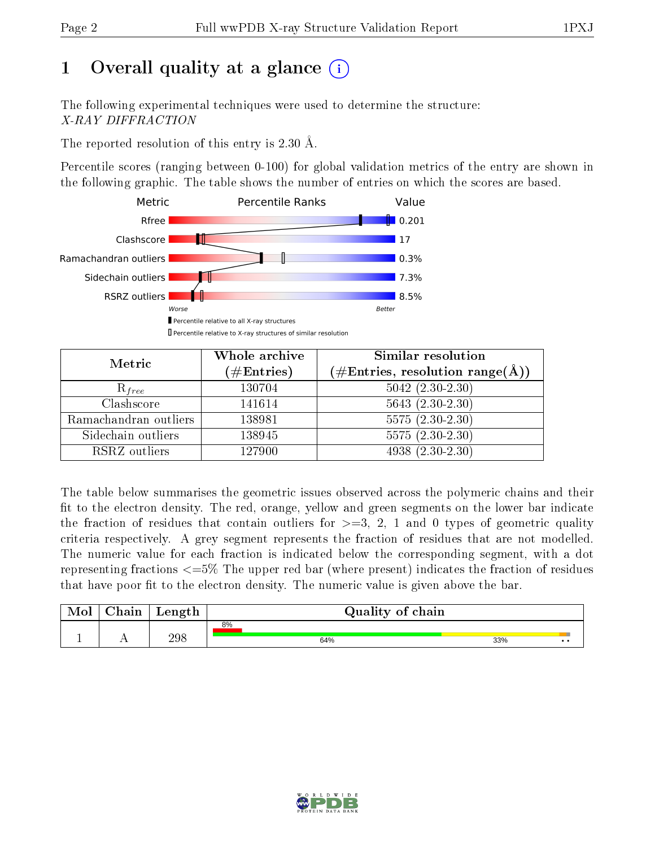# 1 [O](https://www.wwpdb.org/validation/2017/XrayValidationReportHelp#overall_quality)verall quality at a glance  $(i)$

The following experimental techniques were used to determine the structure: X-RAY DIFFRACTION

The reported resolution of this entry is 2.30 Å.

Percentile scores (ranging between 0-100) for global validation metrics of the entry are shown in the following graphic. The table shows the number of entries on which the scores are based.



| Metric                | Whole archive        | <b>Similar resolution</b>                                              |  |  |
|-----------------------|----------------------|------------------------------------------------------------------------|--|--|
|                       | $(\#\text{Entries})$ | $(\#\text{Entries},\, \text{resolution}\; \text{range}(\textup{\AA}))$ |  |  |
| $R_{free}$            | 130704               | $5042 (2.30 - 2.30)$                                                   |  |  |
| Clashscore            | 141614               | $5643(2.30-2.30)$                                                      |  |  |
| Ramachandran outliers | 138981               | $\overline{5575}$ $(2.30-2.30)$                                        |  |  |
| Sidechain outliers    | 138945               | $5575(2.30-2.30)$                                                      |  |  |
| RSRZ outliers         | 127900               | $4938(2.30-2.30)$                                                      |  |  |

The table below summarises the geometric issues observed across the polymeric chains and their fit to the electron density. The red, orange, yellow and green segments on the lower bar indicate the fraction of residues that contain outliers for  $>=3, 2, 1$  and 0 types of geometric quality criteria respectively. A grey segment represents the fraction of residues that are not modelled. The numeric value for each fraction is indicated below the corresponding segment, with a dot representing fractions <=5% The upper red bar (where present) indicates the fraction of residues that have poor fit to the electron density. The numeric value is given above the bar.

| Mol       | $\sim$ 1<br>hain | Length | Quality of chain |                     |
|-----------|------------------|--------|------------------|---------------------|
|           |                  |        | 8%               |                     |
| <u>д.</u> | . .              | 298    | 64%              | 33%<br>$\cdot\cdot$ |

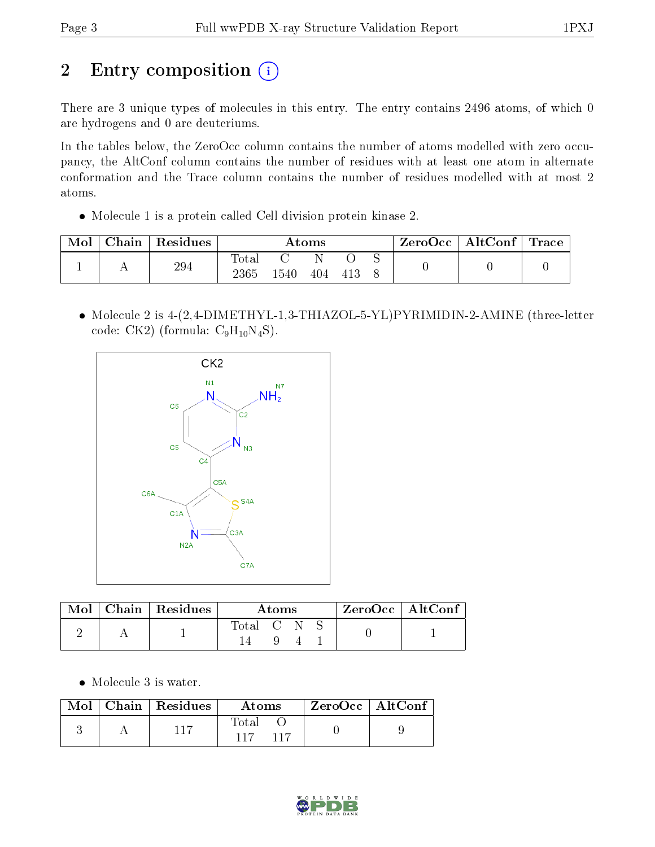# 2 Entry composition (i)

There are 3 unique types of molecules in this entry. The entry contains 2496 atoms, of which 0 are hydrogens and 0 are deuteriums.

In the tables below, the ZeroOcc column contains the number of atoms modelled with zero occupancy, the AltConf column contains the number of residues with at least one atom in alternate conformation and the Trace column contains the number of residues modelled with at most 2 atoms.

Molecule 1 is a protein called Cell division protein kinase 2.

| Mol | Chain | $\perp$ Residues | Atoms        |      |     |  | $\text{ZeroOcc} \mid \text{AltConf} \mid \text{Trace}$ |  |  |
|-----|-------|------------------|--------------|------|-----|--|--------------------------------------------------------|--|--|
|     |       | 294              | <b>Total</b> |      |     |  |                                                        |  |  |
|     |       |                  | 2365         | 1540 | 404 |  |                                                        |  |  |

• Molecule 2 is 4-(2,4-DIMETHYL-1,3-THIAZOL-5-YL)PYRIMIDIN-2-AMINE (three-letter code: CK2) (formula:  $C_9H_{10}N_4S$ ).



|  | $\text{Mol}$   Chain   Residues | Atoms     |  |  |  | $\rm ZeroOcc$   AltConf |
|--|---------------------------------|-----------|--|--|--|-------------------------|
|  |                                 | Total C N |  |  |  |                         |

Molecule 3 is water.

| Mol | $\pm$ Chain $\pm$ Residues | Atoms | $ZeroOcc$   AltConf |  |
|-----|----------------------------|-------|---------------------|--|
|     |                            | Total |                     |  |

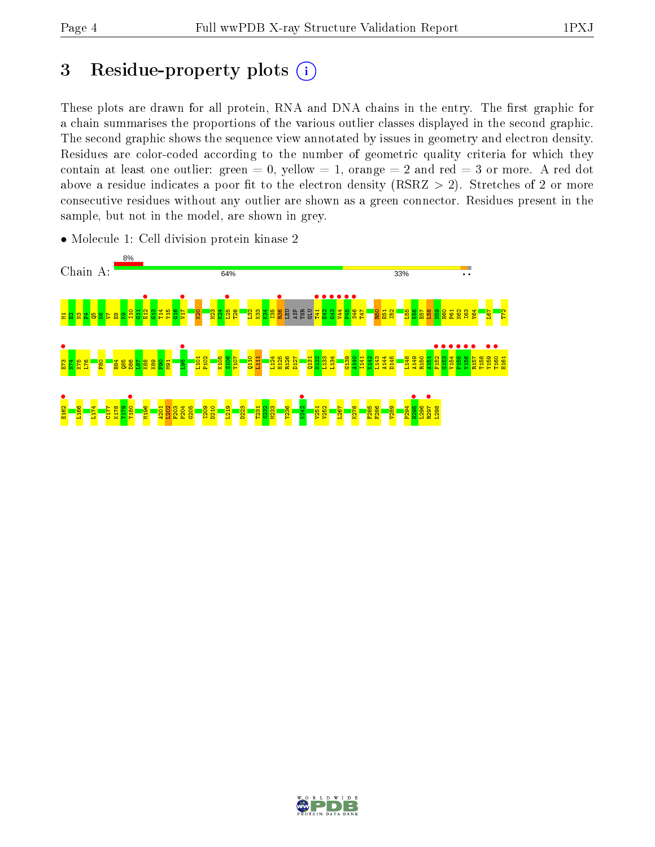# 3 Residue-property plots  $(i)$

These plots are drawn for all protein, RNA and DNA chains in the entry. The first graphic for a chain summarises the proportions of the various outlier classes displayed in the second graphic. The second graphic shows the sequence view annotated by issues in geometry and electron density. Residues are color-coded according to the number of geometric quality criteria for which they contain at least one outlier: green  $= 0$ , yellow  $= 1$ , orange  $= 2$  and red  $= 3$  or more. A red dot above a residue indicates a poor fit to the electron density (RSRZ  $> 2$ ). Stretches of 2 or more consecutive residues without any outlier are shown as a green connector. Residues present in the sample, but not in the model, are shown in grey.



• Molecule 1: Cell division protein kinase 2

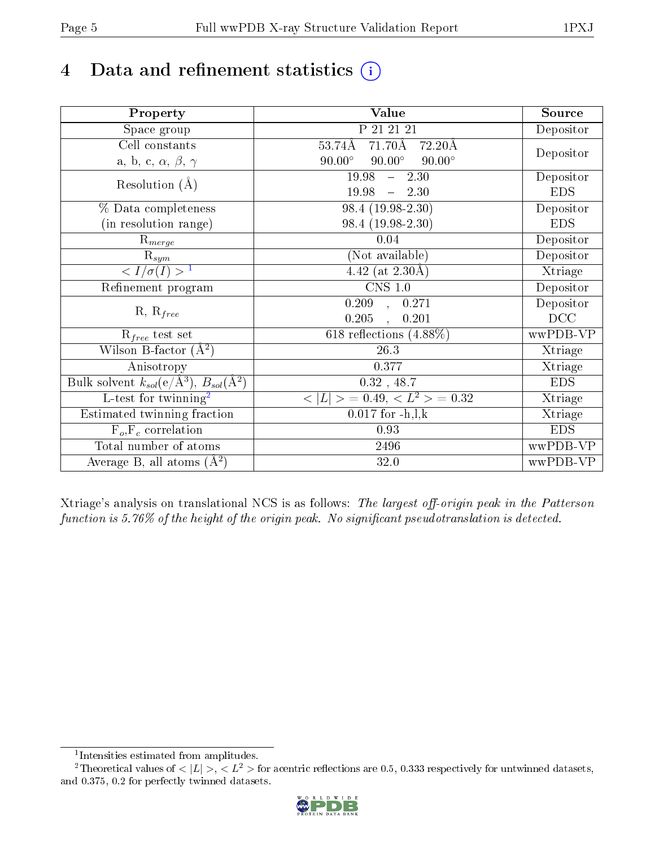# 4 Data and refinement statistics  $(i)$

| Property                                                             | <b>Value</b>                                      | Source     |
|----------------------------------------------------------------------|---------------------------------------------------|------------|
| Space group                                                          | P 21 21 21                                        | Depositor  |
| Cell constants                                                       | $71.70\text{\AA}$<br>53.74Å<br>$-72.20\text{\AA}$ |            |
| a, b, c, $\alpha$ , $\beta$ , $\gamma$                               | $90.00^\circ$<br>$90.00^\circ$<br>$90.00^\circ$   | Depositor  |
| Resolution $(A)$                                                     | $-2.30$<br>19.98                                  | Depositor  |
|                                                                      | 19.98<br>$-2.30$                                  | <b>EDS</b> |
| % Data completeness                                                  | 98.4 (19.98-2.30)                                 | Depositor  |
| (in resolution range)                                                | 98.4 (19.98-2.30)                                 | <b>EDS</b> |
| $R_{merge}$                                                          | 0.04                                              | Depositor  |
| $\mathrm{R}_{sym}$                                                   | (Not available)                                   | Depositor  |
| $\langle I/\sigma(I) \rangle^{-1}$                                   | 4.42 (at $2.30\text{\AA})$                        | Xtriage    |
| Refinement program                                                   | $\overline{\text{CNS} 1.0}$                       | Depositor  |
| $R, R_{free}$                                                        | $\overline{0.209}$ ,<br>0.271                     | Depositor  |
|                                                                      | 0.205<br>0.201<br>$\overline{a}$                  | DCC        |
| $R_{free}$ test set                                                  | 618 reflections $(4.88\%)$                        | wwPDB-VP   |
| Wilson B-factor $(A^2)$                                              | 26.3                                              | Xtriage    |
| Anisotropy                                                           | 0.377                                             | Xtriage    |
| Bulk solvent $k_{sol}(e/\mathring{A}^3)$ , $B_{sol}(\mathring{A}^2)$ | $0.32$ , 48.7                                     | <b>EDS</b> |
| L-test for twinning <sup>2</sup>                                     | $>$ = 0.49, < $L^2$ > = 0.32<br>< L               | Xtriage    |
| Estimated twinning fraction                                          | $0.017$ for $-h, l, k$                            | Xtriage    |
| $F_o, F_c$ correlation                                               | 0.93                                              | <b>EDS</b> |
| Total number of atoms                                                | 2496                                              | wwPDB-VP   |
| Average B, all atoms $(A^2)$                                         | 32.0                                              | wwPDB-VP   |

Xtriage's analysis on translational NCS is as follows: The largest off-origin peak in the Patterson function is  $5.76\%$  of the height of the origin peak. No significant pseudotranslation is detected.

<sup>&</sup>lt;sup>2</sup>Theoretical values of  $\langle |L| \rangle$ ,  $\langle L^2 \rangle$  for acentric reflections are 0.5, 0.333 respectively for untwinned datasets, and 0.375, 0.2 for perfectly twinned datasets.



<span id="page-4-1"></span><span id="page-4-0"></span><sup>1</sup> Intensities estimated from amplitudes.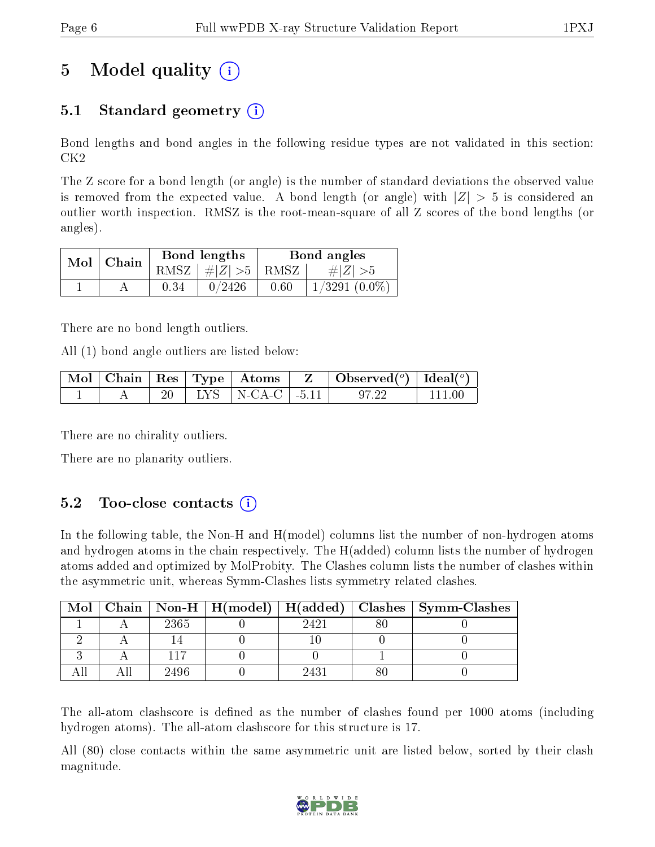# 5 Model quality  $(i)$

## 5.1 Standard geometry  $\overline{()}$

Bond lengths and bond angles in the following residue types are not validated in this section: CK2

The Z score for a bond length (or angle) is the number of standard deviations the observed value is removed from the expected value. A bond length (or angle) with  $|Z| > 5$  is considered an outlier worth inspection. RMSZ is the root-mean-square of all Z scores of the bond lengths (or angles).

| $Mol$   Chain |      | Bond lengths                | Bond angles |                    |  |
|---------------|------|-----------------------------|-------------|--------------------|--|
|               |      | $RMSZ \mid # Z  > 5$   RMSZ |             | $\# Z  > 5$        |  |
|               | 0.34 | 0/2426                      | 0.60        | $1/3291$ $(0.0\%)$ |  |

There are no bond length outliers.

All (1) bond angle outliers are listed below:

|  |  |                           | $\mid$ Mol $\mid$ Chain $\mid$ Res $\mid$ Type $\mid$ Atoms $\mid$ Z $\mid$ Observed( <sup>o</sup> ) $\mid$ Ideal( <sup>o</sup> ) |          |
|--|--|---------------------------|-----------------------------------------------------------------------------------------------------------------------------------|----------|
|  |  | 20   LYS   N-CA-C   -5.11 | - 97.22                                                                                                                           | l 111 00 |

There are no chirality outliers.

There are no planarity outliers.

### $5.2$  Too-close contacts  $(i)$

In the following table, the Non-H and H(model) columns list the number of non-hydrogen atoms and hydrogen atoms in the chain respectively. The H(added) column lists the number of hydrogen atoms added and optimized by MolProbity. The Clashes column lists the number of clashes within the asymmetric unit, whereas Symm-Clashes lists symmetry related clashes.

| Mol |      |      | Chain   Non-H   H(model)   H(added)   Clashes   Symm-Clashes |
|-----|------|------|--------------------------------------------------------------|
|     | 2365 | 2421 |                                                              |
|     |      |      |                                                              |
|     |      |      |                                                              |
|     | 2496 | 2431 |                                                              |

The all-atom clashscore is defined as the number of clashes found per 1000 atoms (including hydrogen atoms). The all-atom clashscore for this structure is 17.

All (80) close contacts within the same asymmetric unit are listed below, sorted by their clash magnitude.

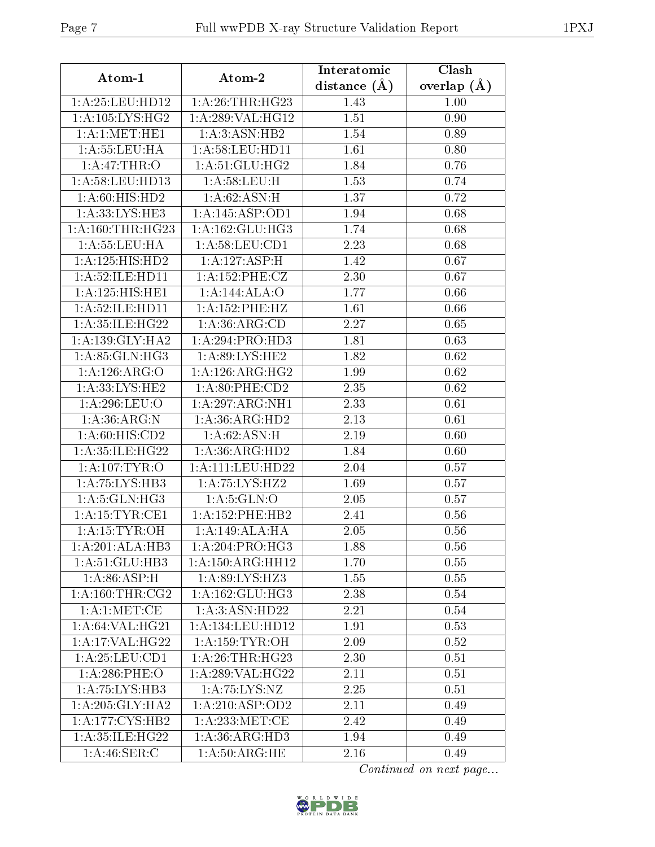| Atom-1                      | Atom-2                    | Interatomic      | Clash         |
|-----------------------------|---------------------------|------------------|---------------|
|                             |                           | distance $(\AA)$ | overlap $(A)$ |
| 1: A:25:LEU:HD12            | 1: A:26:THR:HG23          | 1.43             | 1.00          |
| 1: A: 105: LYS: HG2         | 1:A:289:VAL:HG12          | 1.51             | 0.90          |
| 1: A:1: MET: HE1            | 1: A:3: ASN: HB2          | 1.54             | 0.89          |
| 1: A: 55: LEU: HA           | 1:A:58:LEU:HD11           | 1.61             | 0.80          |
| 1: A:47:THR:O               | 1:A:51:GLU:HG2            | 1.84             | 0.76          |
| 1: A:58: LEU: HD13          | 1: A:58:LEU:H             | 1.53             | 0.74          |
| 1: A:60: HIS: HD2           | $1:A:62:ASN:\overline{H}$ | 1.37             | 0.72          |
| $1:\overline{A:33:LYS:HE3}$ | 1:A:145:ASP:OD1           | 1.94             | 0.68          |
| 1: A:160:THR:HG23           | 1: A: 162: GLU: HG3       | 1.74             | 0.68          |
| 1: A: 55: LEU: HA           | 1: A:58: LEU:CD1          | 2.23             | 0.68          |
| 1:A:125:HIS:HD2             | 1:A:127:ASP:H             | 1.42             | 0.67          |
| 1:A:52:ILE:HD11             | 1: A:152:PHE:CZ           | 2.30             | 0.67          |
| 1:A:125:HIS:HE1             | 1:A:144:ALA:O             | 1.77             | 0.66          |
| 1: A:52: ILE: HD11          | 1: A: 152: PHE: HZ        | 1.61             | 0.66          |
| 1: A:35: ILE:H G22          | 1: A:36: ARG:CD           | 2.27             | 0.65          |
| 1: A: 139: GLY: HA2         | 1:A:294:PRO:HD3           | 1.81             | 0.63          |
| 1: A:85: GLN:HG3            | 1: A:89: LYS: HE2         | 1.82             | 0.62          |
| 1:A:126:ARG:O               | 1: A:126: ARG:HG2         | 1.99             | 0.62          |
| 1: A: 33: LYS: HE2          | 1: A:80:PHE:CD2           | 2.35             | 0.62          |
| 1: A:296:LEU:O              | 1:A:297:ARG:NH1           | 2.33             | 0.61          |
| 1: A:36:ARG:N               | 1:A:36:ARG:HD2            | 2.13             | 0.61          |
| 1: A:60: HIS:CD2            | 1: A:62: ASN:H            | 2.19             | 0.60          |
| 1:A:35:ILE:HG22             | 1:A:36:ARG:HD2            | 1.84             | 0.60          |
| 1: A: 107: TYR: O           | 1:A:111:LEU:HD22          | 2.04             | 0.57          |
| 1: A: 75: LYS: HB3          | 1: A: 75: LYS: HZ2        | 1.69             | 0.57          |
| 1: A:5: GLN: HG3            | 1: A:5: GLN:O             | 2.05             | 0.57          |
| 1: A:15:TYR:CE1             | 1:A:152:PHE:HB2           | 2.41             | 0.56          |
| 1:A:15:TYR:OH               | 1:A:149:ALA:HA            | 2.05             | 0.56          |
| 1:A:201:ALA:HB3             | 1: A:204:PRO:HG3          | 1.88             | 0.56          |
| 1: A:51: GLU:HB3            | 1: A: 150: ARG: HH12      | 1.70             | 0.55          |
| 1: A:86: ASP:H              | 1:A:89:LYS:HZ3            | 1.55             | 0.55          |
| 1: A:160:THR:CG2            | 1: A: 162: GLU: HG3       | 2.38             | 0.54          |
| 1:A:1:MET:CE                | 1:A:3:ASN:HD22            | 2.21             | 0.54          |
| 1: A:64: VAL:HG21           | 1:A:134:LEU:HD12          | 1.91             | 0.53          |
| 1: A:17: VAL:HG22           | 1: A: 159: TYR: OH        | 2.09             | 0.52          |
| 1: A:25: LEU:CD1            | 1: A:26:THR:HG23          | 2.30             | 0.51          |
| 1: A:286:PHE:O              | 1:A:289:VAL:HG22          | 2.11             | 0.51          |
| 1:A:75:LYS:HB3              | 1:A:75:LYS:NZ             | 2.25             | 0.51          |
| 1: A:205: GLY:HA2           | 1: A:210: ASP:OD2         | 2.11             | 0.49          |
| 1:A:177:CYS:HB2             | 1: A:233:MET:CE           | 2.42             | 0.49          |
| 1: A:35: ILE: HG22          | 1: A:36: ARG:HD3          | 1.94             | 0.49          |
| 1: A:46: SER:C              | 1: A:50:ARG:HE            | 2.16             | 0.49          |

Continued on next page...

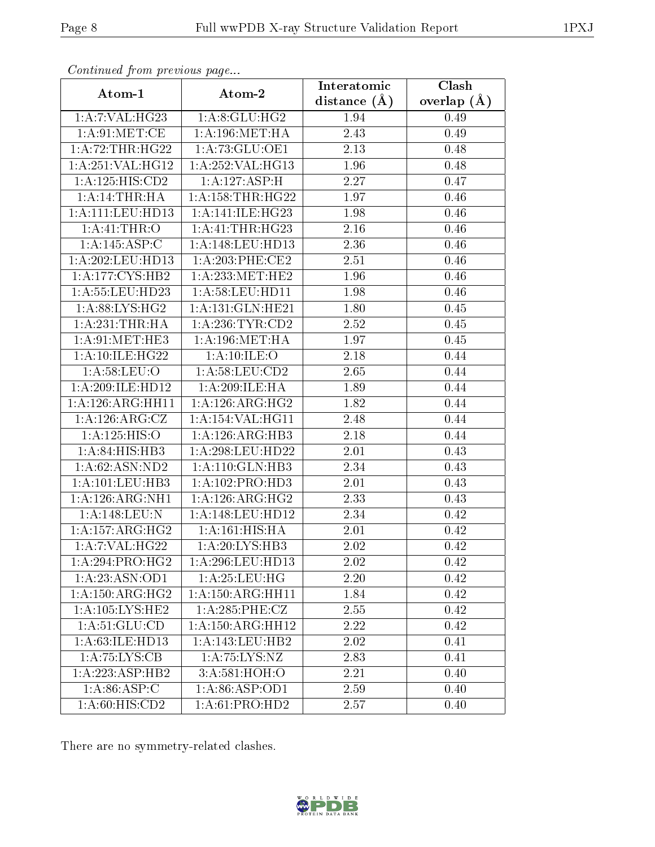| Comunaca jiom previous page  |                      | Interatomic    | Clash         |
|------------------------------|----------------------|----------------|---------------|
| Atom-1                       | Atom-2               | distance $(A)$ | overlap $(A)$ |
| 1:A:7:VAL:HG23               | 1: A:8: GLU: HG2     | 1.94           | 0.49          |
| 1: A:91: MET:CE              | 1: A:196: MET:HA     | 2.43           | 0.49          |
| 1:A:72:THR:HG22              | 1:A:73:GLU:OE1       | 2.13           | 0.48          |
| 1:A:251:VAL:HG12             | 1:A:252:VAL:HG13     | 1.96           | 0.48          |
| 1:A:125:HIS:CD2              | 1:A:127:ASP:H        | 2.27           | 0.47          |
| 1:A:14:THR:H                 | 1: A: 158: THR: HG22 | 1.97           | 0.46          |
| 1:A:111:LEU:HD13             | 1:A:141:ILE:HG23     | 1.98           | 0.46          |
| 1:A:41:THR:O                 | 1:A:41:THR:HG23      | 2.16           | 0.46          |
| 1:A:145:ASP:C                | 1: A:148:LEU:HD13    | 2.36           | 0.46          |
| 1: A:202:LEU:HD13            | 1:A:203:PHE:CE2      | 2.51           | 0.46          |
| 1:A:177:CYS:HB2              | 1: A: 233: MET: HE2  | 1.96           | 0.46          |
| 1:A:55:LEU:HD23              | 1: A:58:LEU:HD11     | 1.98           | 0.46          |
| 1: A:88: L <sub>YS:HG2</sub> | 1:A:131:GLN:HE21     | 1.80           | 0.45          |
| 1:A:231:THR:HA               | 1:A:236:TYR:CD2      | 2.52           | 0.45          |
| 1: A:91:MET:HE3              | 1: A:196: MET:HA     | 1.97           | 0.45          |
| 1: A:10: ILE:H G22           | 1:A:10:ILE:O         | 2.18           | 0.44          |
| 1: A:58:LEU:O                | 1: A:58: LEU:CD2     | 2.65           | 0.44          |
| 1:A:209:ILE:HD12             | 1:A:209:ILE:HA       | 1.89           | 0.44          |
| 1:A:126:ARG:HH11             | 1: A:126: ARG:HG2    | 1.82           | 0.44          |
| 1: A: 126: ARG: CZ           | 1:A:154:VAL:HG11     | 2.48           | 0.44          |
| 1: A: 125: HIS: O            | 1:A:126:ARG:HB3      | 2.18           | 0.44          |
| 1: A:84: HIS:HB3             | $1:$ A:298:LEU:HD22  | 2.01           | 0.43          |
| 1: A:62: ASN:ND2             | 1: A:110: GLN:HB3    | 2.34           | 0.43          |
| 1:A:101:LEU:HB3              | 1:A:102:PRO:HD3      | 2.01           | 0.43          |
| 1: A:126: ARG: NH1           | 1:A:126:ARG:HG2      | 2.33           | 0.43          |
| 1:A:148:LEU:N                | 1:A:148:LEU:HD12     | 2.34           | 0.42          |
| 1: A: 157: ARG: HG2          | 1:A:161:HIS:HA       | 2.01           | 0.42          |
| 1: A: 7: VAL: HG22           | 1:A:20:LYS:HB3       | 2.02           | 0.42          |
| 1:A:294:PRO:HG2              | 1:A:296:LEU:HD13     | 2.02           | 0.42          |
| 1:A:23:ASN:OD1               | 1: A:25:LEU:HG       | 2.20           | 0.42          |
| 1:A:150:ARG:HG2              | 1: A: 150: ARG: HH11 | 1.84           | 0.42          |
| 1:A:105:LYS:HE2              | 1: A:285:PHE:CZ      | 2.55           | 0.42          |
| 1: A:51: GLU:CD              | 1: A: 150: ARG: HH12 | 2.22           | 0.42          |
| 1:A:63:ILE:HD13              |                      | 2.02           | 0.41          |
| 1:A:75:LYS:CB                | 1:A:75:LYS:NZ        | 2.83           | 0.41          |
| 1:A:223:ASP:HB2              | 3:A:581:HOH:O        | 2.21           | 0.40          |
| 1: A:86: ASP:C               | 1: A:86: ASP:OD1     | 2.59           | 0.40          |
| 1: A:60: HIS:CD2             | 1:A:61:PRO:HD2       | 2.57           | 0.40          |

Continued from previous page.

There are no symmetry-related clashes.

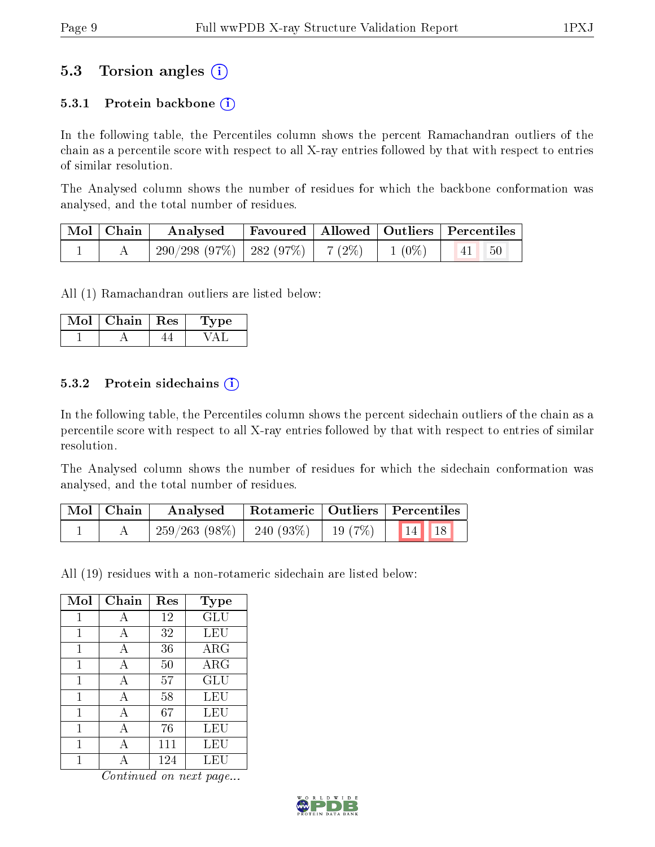## 5.3 Torsion angles (i)

### 5.3.1 Protein backbone  $(i)$

In the following table, the Percentiles column shows the percent Ramachandran outliers of the chain as a percentile score with respect to all X-ray entries followed by that with respect to entries of similar resolution.

The Analysed column shows the number of residues for which the backbone conformation was analysed, and the total number of residues.

| $\vert$ Mol $\vert$ Chain $\vert$ | Analysed                                |  |          | Favoured   Allowed   Outliers   Percentiles |  |
|-----------------------------------|-----------------------------------------|--|----------|---------------------------------------------|--|
|                                   | $290/298$ (97\%)   282 (97\%)   7 (2\%) |  | $1(0\%)$ | $\vert 41 \vert \vert 50$                   |  |

All (1) Ramachandran outliers are listed below:

| Mol | Chain | Res | vpe |
|-----|-------|-----|-----|
|     |       |     |     |

#### 5.3.2 Protein sidechains  $\hat{I}$

In the following table, the Percentiles column shows the percent sidechain outliers of the chain as a percentile score with respect to all X-ray entries followed by that with respect to entries of similar resolution.

The Analysed column shows the number of residues for which the sidechain conformation was analysed, and the total number of residues.

| $\mid$ Mol $\mid$ Chain | Analysed        | Rotameric   Outliers   Percentiles              |  |       |  |
|-------------------------|-----------------|-------------------------------------------------|--|-------|--|
|                         | $259/263(98\%)$ | $\frac{1}{1}$ 240 (93%)   19 (7%) $\frac{1}{1}$ |  | 14 18 |  |

All (19) residues with a non-rotameric sidechain are listed below:

| Mol | Chain        | Res | Type       |
|-----|--------------|-----|------------|
| 1   | А            | 12  | <b>GLU</b> |
| 1   | А            | 32  | LEU        |
| 1   | A            | 36  | $\rm{ARG}$ |
| 1   | A            | 50  | ARG        |
| 1   | $\mathbf{A}$ | 57  | GLU        |
| 1   | A            | 58  | LEU        |
| 1   | A            | 67  | LEU        |
| 1   | А            | 76  | LEU        |
| 1   | А            | 111 | LEU        |
|     |              | 124 | LEU        |

Continued on next page...

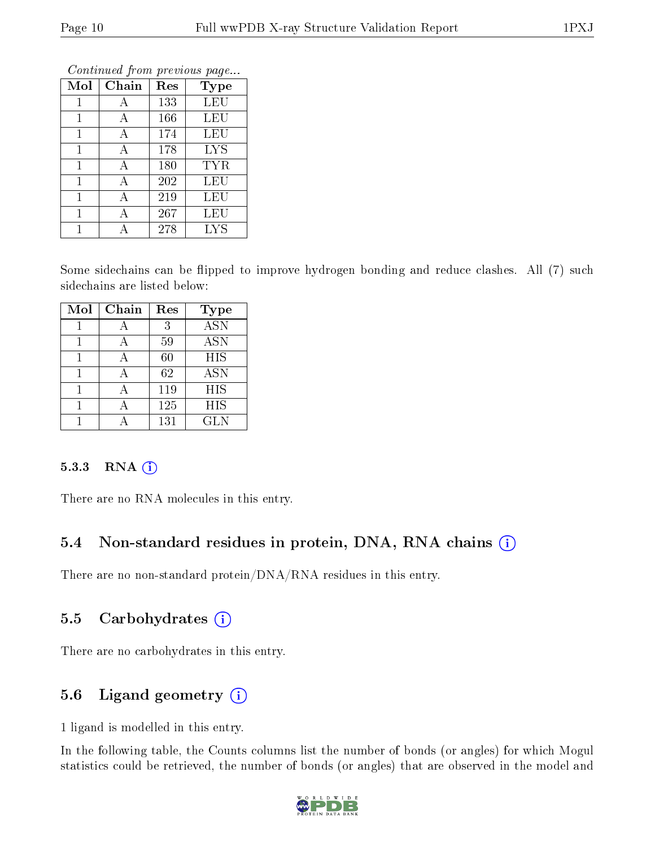| Mol | Chain        | Res | <b>Type</b> |
|-----|--------------|-----|-------------|
| 1   | А            | 133 | <b>LEU</b>  |
| 1   | A            | 166 | LEU         |
| 1   | А            | 174 | LEU         |
| 1   | $\mathbf{A}$ | 178 | <b>LYS</b>  |
| 1   | А            | 180 | TYR         |
| 1   | A            | 202 | LEU         |
| 1   | A            | 219 | LEU         |
| 1   | А            | 267 | LEU         |
|     |              | 278 | <b>LYS</b>  |

Continued from previous page...

Some sidechains can be flipped to improve hydrogen bonding and reduce clashes. All (7) such sidechains are listed below:

| Mol | Chain | Res | Type                      |
|-----|-------|-----|---------------------------|
|     |       | 3   | $\overline{\mathrm{ASN}}$ |
|     |       | 59  | <b>ASN</b>                |
|     |       | 60  | <b>HIS</b>                |
|     |       | 62  | <b>ASN</b>                |
|     |       | 119 | <b>HIS</b>                |
|     |       | 125 | HIS                       |
|     |       | 131 | <b>GLN</b>                |

#### 5.3.3 RNA (i)

There are no RNA molecules in this entry.

### 5.4 Non-standard residues in protein, DNA, RNA chains  $(i)$

There are no non-standard protein/DNA/RNA residues in this entry.

### 5.5 Carbohydrates  $(i)$

There are no carbohydrates in this entry.

## 5.6 Ligand geometry  $(i)$

1 ligand is modelled in this entry.

In the following table, the Counts columns list the number of bonds (or angles) for which Mogul statistics could be retrieved, the number of bonds (or angles) that are observed in the model and

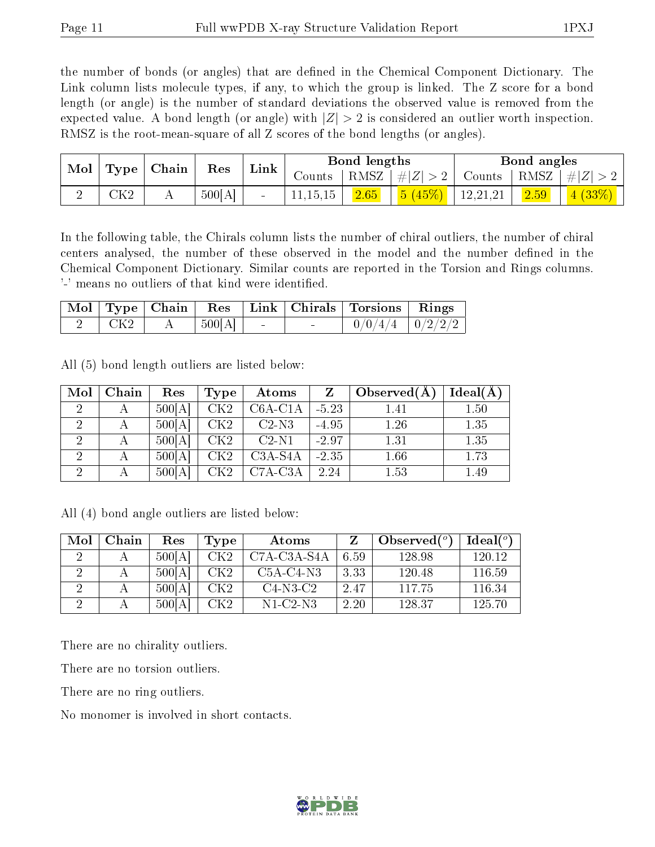the number of bonds (or angles) that are defined in the Chemical Component Dictionary. The Link column lists molecule types, if any, to which the group is linked. The Z score for a bond length (or angle) is the number of standard deviations the observed value is removed from the expected value. A bond length (or angle) with  $|Z| > 2$  is considered an outlier worth inspection. RMSZ is the root-mean-square of all Z scores of the bond lengths (or angles).

| $\operatorname{Mol}$ | Type        | Chain | Res    | Link |            | Bond lengths |                    |          | Bond angles     |        |
|----------------------|-------------|-------|--------|------|------------|--------------|--------------------|----------|-----------------|--------|
|                      |             |       |        |      | Counts -   |              | RMSZ   $\# Z  > 2$ | Counts   | RMSZ $  \#  Z $ |        |
|                      | ${\rm CK2}$ |       | 500[A] |      | 11, 15, 15 | 2.65         | 5(45%)             | 12,21,21 | 2.59            | 4(33%) |

In the following table, the Chirals column lists the number of chiral outliers, the number of chiral centers analysed, the number of these observed in the model and the number defined in the Chemical Component Dictionary. Similar counts are reported in the Torsion and Rings columns. '-' means no outliers of that kind were identified.

|            |        |        |        | Mol   Type   Chain   Res   Link   Chirals   Torsions   Rings |  |
|------------|--------|--------|--------|--------------------------------------------------------------|--|
| $\mid$ CK2 | 500[A] | $\sim$ | $\sim$ | $0/0/4/4$   $0/2/2/2$                                        |  |

All (5) bond length outliers are listed below:

| Mol            | Chain | Res    | <b>Type</b> | Atoms     |         | Observed(A) | $Ideal(\AA)$ |
|----------------|-------|--------|-------------|-----------|---------|-------------|--------------|
| 2              | А     | 500[A] | CK2         | $C6A-C1A$ | $-5.23$ | 1.41        | 1.50         |
|                |       | 500[A] | CK2         | $C2-N3$   | $-4.95$ | 1.26        | 1.35         |
| 2              | А     | 500[A] | CK2         | $C2-N1$   | $-2.97$ | 1.31        | 1.35         |
| $\overline{2}$ | А     | 500[A] | CK2         | $C3A-S4A$ | $-2.35$ | 1.66        | 1.73         |
| $\overline{2}$ |       | 500[A] | ${\rm CK2}$ | $C7A-C3A$ | 2.24    | 1.53        | 1.49         |

All (4) bond angle outliers are listed below:

| Mol | Chain | Res    | Type            | Atoms       |      | Observed $(^\circ)$ | $Ideal(^\circ)$ |
|-----|-------|--------|-----------------|-------------|------|---------------------|-----------------|
|     |       | 500[A] | CK <sub>2</sub> | C7A-C3A-S4A | 6.59 | 128.98              | 120.12          |
|     |       | 500 A  | CK2             | $C5A-C4-N3$ | 3.33 | 120.48              | 116.59          |
|     |       | 500[A] | CK2             | $C4-N3-C2$  | 2.47 | 117.75              | 116.34          |
|     |       | 500 A  | CK2             | N1-C2-N3    | 2.20 | 128.37              | 125.70          |

There are no chirality outliers.

There are no torsion outliers.

There are no ring outliers.

No monomer is involved in short contacts.

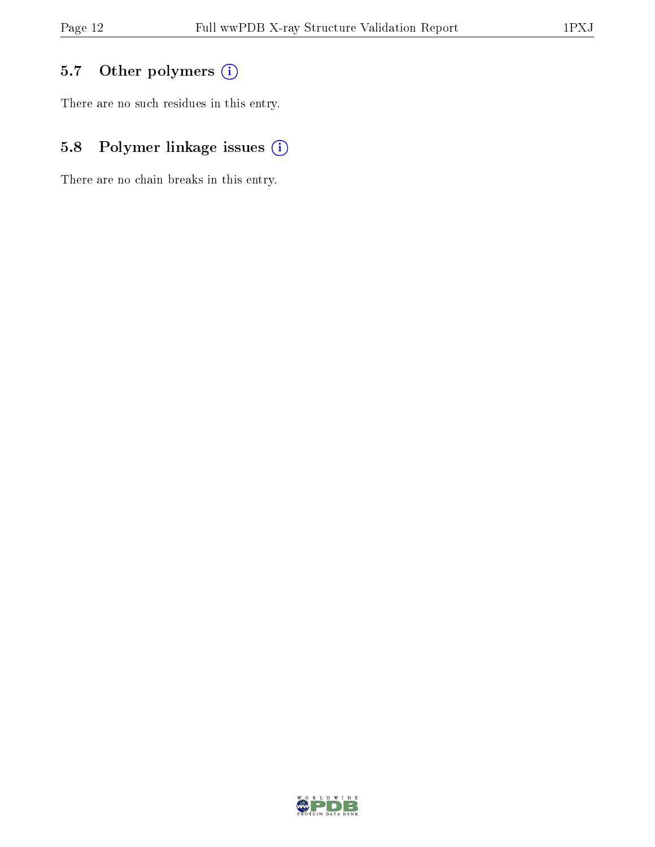## 5.7 [O](https://www.wwpdb.org/validation/2017/XrayValidationReportHelp#nonstandard_residues_and_ligands)ther polymers (i)

There are no such residues in this entry.

## 5.8 Polymer linkage issues (i)

There are no chain breaks in this entry.

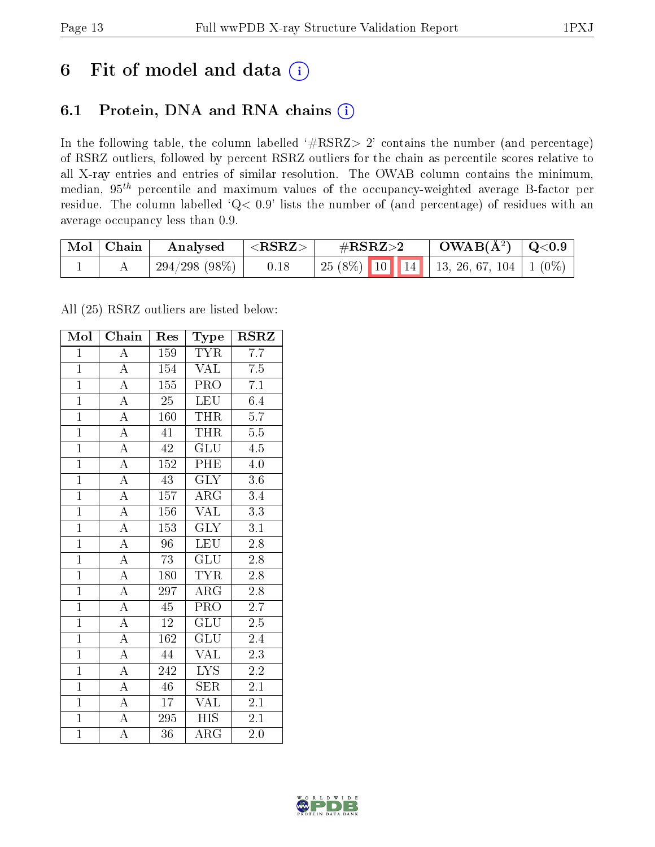## 6 Fit of model and data  $(i)$

## 6.1 Protein, DNA and RNA chains  $(i)$

In the following table, the column labelled  $#RSRZ> 2'$  contains the number (and percentage) of RSRZ outliers, followed by percent RSRZ outliers for the chain as percentile scores relative to all X-ray entries and entries of similar resolution. The OWAB column contains the minimum, median,  $95<sup>th</sup>$  percentile and maximum values of the occupancy-weighted average B-factor per residue. The column labelled ' $Q< 0.9$ ' lists the number of (and percentage) of residues with an average occupancy less than 0.9.

| Mol   Chain | Analysed        | $^{-1}$ <rsrz> .</rsrz> | $\#\text{RSRZ}\text{>2}$                     | $\rm OWAB(\AA^2)$   Q<0.9 |  |
|-------------|-----------------|-------------------------|----------------------------------------------|---------------------------|--|
|             | $294/298(98\%)$ | 0.18                    | 25 (8%)   10   14   13, 26, 67, 104   1 (0%) |                           |  |

All (25) RSRZ outliers are listed below:

| Mol            | Chain              | Res              | Type                      | <b>RSRZ</b>      |  |
|----------------|--------------------|------------------|---------------------------|------------------|--|
| $\mathbf{1}$   | $\overline{\rm A}$ | 159              | <b>TYR</b>                | $\overline{7.7}$ |  |
| $\overline{1}$ | $\overline{\rm A}$ | 154              | <b>VAL</b>                | 7.5              |  |
| $\overline{1}$ | $\overline{A}$     | $\overline{155}$ | <b>PRO</b>                | $\overline{7.1}$ |  |
| $\overline{1}$ | $\overline{A}$     | $\overline{25}$  | <b>LEU</b>                | 6.4              |  |
| $\overline{1}$ | $\overline{A}$     | $\overline{160}$ | <b>THR</b>                | $\overline{5.7}$ |  |
| $\mathbf{1}$   | $\overline{\rm A}$ | 41               | THR                       | $5.5\,$          |  |
| $\overline{1}$ | $\overline{A}$     | $\overline{42}$  | $\overline{\mathrm{GLU}}$ | 4.5              |  |
| $\overline{1}$ | $\overline{\rm A}$ | 152              | PHE                       | $\overline{4.0}$ |  |
| $\mathbf{1}$   | $\overline{\rm A}$ | $\overline{43}$  | $\overline{\text{GLY}}$   | 3.6              |  |
| $\overline{1}$ | $\overline{A}$     | 157              | $\overline{\rm{ARG}}$     | 3.4              |  |
| $\overline{1}$ | $\overline{A}$     | 156              | <b>VAL</b>                | $\overline{3.3}$ |  |
| $\overline{1}$ | $\overline{A}$     | $\overline{153}$ | $\overline{\text{GLY}}$   | $\overline{3.1}$ |  |
| $\overline{1}$ | $\overline{\rm A}$ | 96               | <b>LEU</b>                | $\overline{2.8}$ |  |
| $\overline{1}$ | $\overline{A}$     | 73               | $\overline{\text{GLU}}$   | 2.8              |  |
| $\overline{1}$ | $\overline{\rm A}$ | 180              | <b>TYR</b>                | $\overline{2.8}$ |  |
| $\overline{1}$ | $\overline{\rm A}$ | 297              | $\overline{\rm{ARG}}$     | 2.8              |  |
| $\overline{1}$ | $\overline{A}$     | $\overline{45}$  | $\overline{\text{PRO}}$   | $\overline{2.7}$ |  |
| $\mathbf{1}$   | $\overline{\rm A}$ | $12\,$           | GLU                       | $2.5\,$          |  |
| $\overline{1}$ | $\overline{\rm A}$ | $\overline{162}$ | $\overline{{\rm GLU}}$    | 2.4              |  |
| $\overline{1}$ | $\overline{\rm A}$ | 44               | VAL                       | $\overline{2.3}$ |  |
| $\overline{1}$ | $\overline{A}$     | 242              | $\overline{\text{LYS}}$   | 2.2              |  |
| $\overline{1}$ | $\overline{A}$     | $\overline{46}$  | $\overline{\text{SER}}$   | 2.1              |  |
| $\overline{1}$ | $\overline{\rm A}$ | 17               | <b>VAL</b>                | 2.1              |  |
| $\overline{1}$ | $\overline{A}$     | 295              | $\overline{HIS}$          | $\overline{2.1}$ |  |
| $\overline{1}$ | $\overline{\rm A}$ | 36               | $\rm{ARG}$                | $2.0\,$          |  |